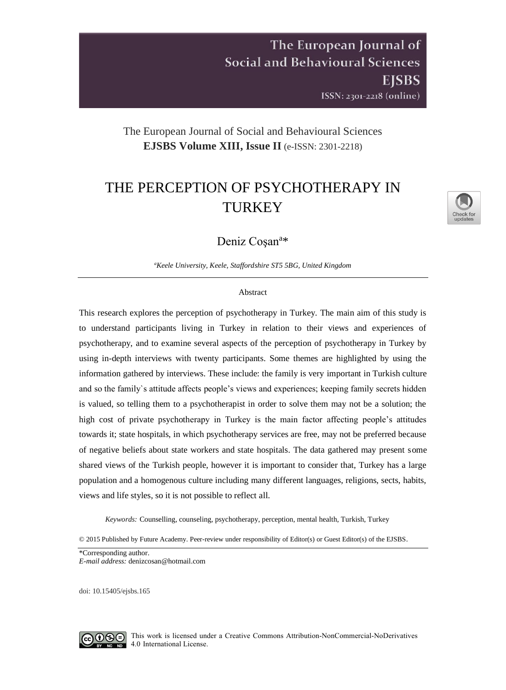# The European Journal of **Social and Behavioural Sciences** EISBS ISSN: 2301-2218 (online)

# The European Journal of Social and Behavioural Sciences **EJSBS Volume XIII, Issue II** (e-ISSN: 2301-2218)

# THE PERCEPTION OF PSYCHOTHERAPY IN TURKEY

Deniz Coşan<sup>a</sup>\*

*<sup>a</sup>Keele University, Keele, Staffordshire ST5 5BG, United Kingdom*

#### Abstract

This research explores the perception of psychotherapy in Turkey. The main aim of this study is to understand participants living in Turkey in relation to their views and experiences of psychotherapy, and to examine several aspects of the perception of psychotherapy in Turkey by using in-depth interviews with twenty participants. Some themes are highlighted by using the information gathered by interviews. These include: the family is very important in Turkish culture and so the family`s attitude affects people's views and experiences; keeping family secrets hidden is valued, so telling them to a psychotherapist in order to solve them may not be a solution; the high cost of private psychotherapy in Turkey is the main factor affecting people's attitudes towards it; state hospitals, in which psychotherapy services are free, may not be preferred because of negative beliefs about state workers and state hospitals. The data gathered may present some shared views of the Turkish people, however it is important to consider that, Turkey has a large population and a homogenous culture including many different languages, religions, sects, habits, views and life styles, so it is not possible to reflect all.

*Keywords:* Counselling, counseling, psychotherapy, perception, mental health, Turkish, Turkey

© 2015 Published by Future Academy. Peer-review under responsibility of Editor(s) or Guest Editor(s) of the EJSBS.

\*Corresponding author. *E-mail address:* denizcosan@hotmail.com

doi[: 10.15405/ejsbs.165](https://doi.org/10.15405/ejsbs.165)

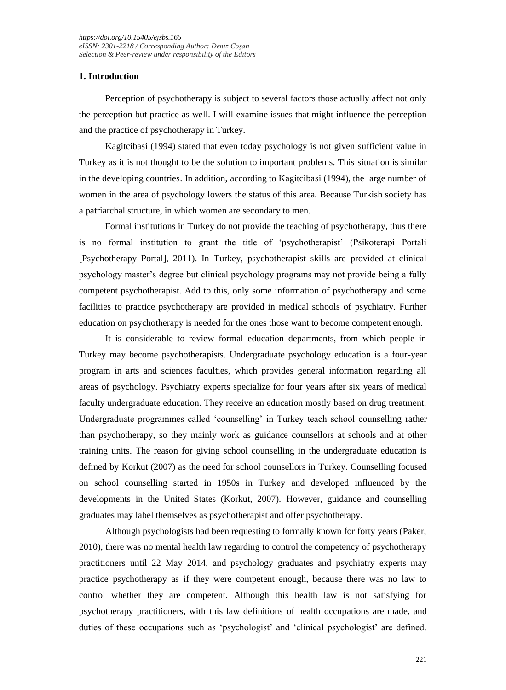# **1. Introduction**

Perception of psychotherapy is subject to several factors those actually affect not only the perception but practice as well. I will examine issues that might influence the perception and the practice of psychotherapy in Turkey.

Kagitcibasi (1994) stated that even today psychology is not given sufficient value in Turkey as it is not thought to be the solution to important problems. This situation is similar in the developing countries. In addition, according to Kagitcibasi (1994), the large number of women in the area of psychology lowers the status of this area. Because Turkish society has a patriarchal structure, in which women are secondary to men.

Formal institutions in Turkey do not provide the teaching of psychotherapy, thus there is no formal institution to grant the title of 'psychotherapist' (Psikoterapi Portali [Psychotherapy Portal], 2011). In Turkey, psychotherapist skills are provided at clinical psychology master's degree but clinical psychology programs may not provide being a fully competent psychotherapist. Add to this, only some information of psychotherapy and some facilities to practice psychotherapy are provided in medical schools of psychiatry. Further education on psychotherapy is needed for the ones those want to become competent enough.

It is considerable to review formal education departments, from which people in Turkey may become psychotherapists. Undergraduate psychology education is a four-year program in arts and sciences faculties, which provides general information regarding all areas of psychology. Psychiatry experts specialize for four years after six years of medical faculty undergraduate education. They receive an education mostly based on drug treatment. Undergraduate programmes called 'counselling' in Turkey teach school counselling rather than psychotherapy, so they mainly work as guidance counsellors at schools and at other training units. The reason for giving school counselling in the undergraduate education is defined by Korkut (2007) as the need for school counsellors in Turkey. Counselling focused on school counselling started in 1950s in Turkey and developed influenced by the developments in the United States (Korkut, 2007). However, guidance and counselling graduates may label themselves as psychotherapist and offer psychotherapy.

Although psychologists had been requesting to formally known for forty years (Paker, 2010), there was no mental health law regarding to control the competency of psychotherapy practitioners until 22 May 2014, and psychology graduates and psychiatry experts may practice psychotherapy as if they were competent enough, because there was no law to control whether they are competent. Although this health law is not satisfying for psychotherapy practitioners, with this law definitions of health occupations are made, and duties of these occupations such as 'psychologist' and 'clinical psychologist' are defined.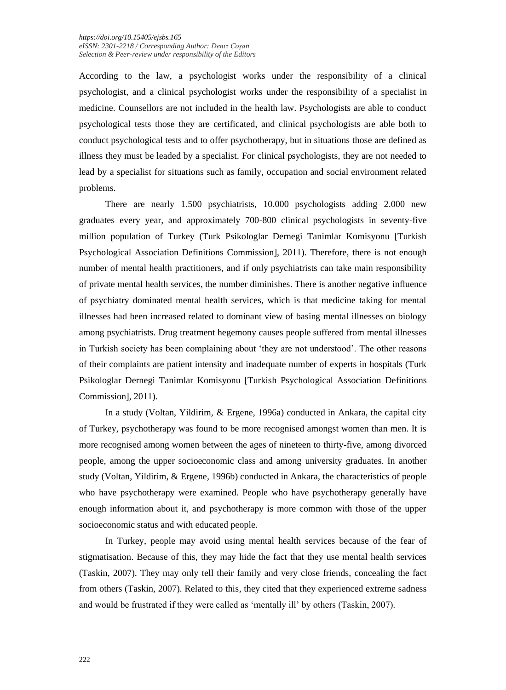According to the law, a psychologist works under the responsibility of a clinical psychologist, and a clinical psychologist works under the responsibility of a specialist in medicine. Counsellors are not included in the health law. Psychologists are able to conduct psychological tests those they are certificated, and clinical psychologists are able both to conduct psychological tests and to offer psychotherapy, but in situations those are defined as illness they must be leaded by a specialist. For clinical psychologists, they are not needed to lead by a specialist for situations such as family, occupation and social environment related problems.

There are nearly 1.500 psychiatrists, 10.000 psychologists adding 2.000 new graduates every year, and approximately 700-800 clinical psychologists in seventy-five million population of Turkey (Turk Psikologlar Dernegi Tanimlar Komisyonu [Turkish Psychological Association Definitions Commission], 2011). Therefore, there is not enough number of mental health practitioners, and if only psychiatrists can take main responsibility of private mental health services, the number diminishes. There is another negative influence of psychiatry dominated mental health services, which is that medicine taking for mental illnesses had been increased related to dominant view of basing mental illnesses on biology among psychiatrists. Drug treatment hegemony causes people suffered from mental illnesses in Turkish society has been complaining about 'they are not understood'. The other reasons of their complaints are patient intensity and inadequate number of experts in hospitals (Turk Psikologlar Dernegi Tanimlar Komisyonu [Turkish Psychological Association Definitions Commission], 2011).

In a study (Voltan, Yildirim, & Ergene, 1996a) conducted in Ankara, the capital city of Turkey, psychotherapy was found to be more recognised amongst women than men. It is more recognised among women between the ages of nineteen to thirty-five, among divorced people, among the upper socioeconomic class and among university graduates. In another study (Voltan, Yildirim, & Ergene, 1996b) conducted in Ankara, the characteristics of people who have psychotherapy were examined. People who have psychotherapy generally have enough information about it, and psychotherapy is more common with those of the upper socioeconomic status and with educated people.

In Turkey, people may avoid using mental health services because of the fear of stigmatisation. Because of this, they may hide the fact that they use mental health services (Taskin, 2007). They may only tell their family and very close friends, concealing the fact from others (Taskin, 2007). Related to this, they cited that they experienced extreme sadness and would be frustrated if they were called as 'mentally ill' by others (Taskin, 2007).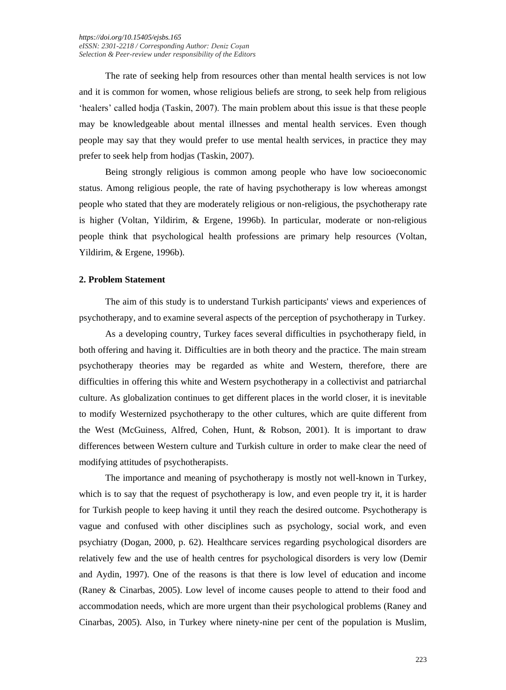The rate of seeking help from resources other than mental health services is not low and it is common for women, whose religious beliefs are strong, to seek help from religious 'healers' called hodja (Taskin, 2007). The main problem about this issue is that these people may be knowledgeable about mental illnesses and mental health services. Even though people may say that they would prefer to use mental health services, in practice they may prefer to seek help from hodjas (Taskin, 2007).

Being strongly religious is common among people who have low socioeconomic status. Among religious people, the rate of having psychotherapy is low whereas amongst people who stated that they are moderately religious or non-religious, the psychotherapy rate is higher (Voltan, Yildirim, & Ergene, 1996b). In particular, moderate or non-religious people think that psychological health professions are primary help resources (Voltan, Yildirim, & Ergene, 1996b).

#### **2. Problem Statement**

The aim of this study is to understand Turkish participants' views and experiences of psychotherapy, and to examine several aspects of the perception of psychotherapy in Turkey.

As a developing country, Turkey faces several difficulties in psychotherapy field, in both offering and having it. Difficulties are in both theory and the practice. The main stream psychotherapy theories may be regarded as white and Western, therefore, there are difficulties in offering this white and Western psychotherapy in a collectivist and patriarchal culture. As globalization continues to get different places in the world closer, it is inevitable to modify Westernized psychotherapy to the other cultures, which are quite different from the West (McGuiness, Alfred, Cohen, Hunt, & Robson, 2001). It is important to draw differences between Western culture and Turkish culture in order to make clear the need of modifying attitudes of psychotherapists.

The importance and meaning of psychotherapy is mostly not well-known in Turkey, which is to say that the request of psychotherapy is low, and even people try it, it is harder for Turkish people to keep having it until they reach the desired outcome. Psychotherapy is vague and confused with other disciplines such as psychology, social work, and even psychiatry (Dogan, 2000, p. 62). Healthcare services regarding psychological disorders are relatively few and the use of health centres for psychological disorders is very low (Demir and Aydin, 1997). One of the reasons is that there is low level of education and income (Raney & Cinarbas, 2005). Low level of income causes people to attend to their food and accommodation needs, which are more urgent than their psychological problems (Raney and Cinarbas, 2005). Also, in Turkey where ninety-nine per cent of the population is Muslim,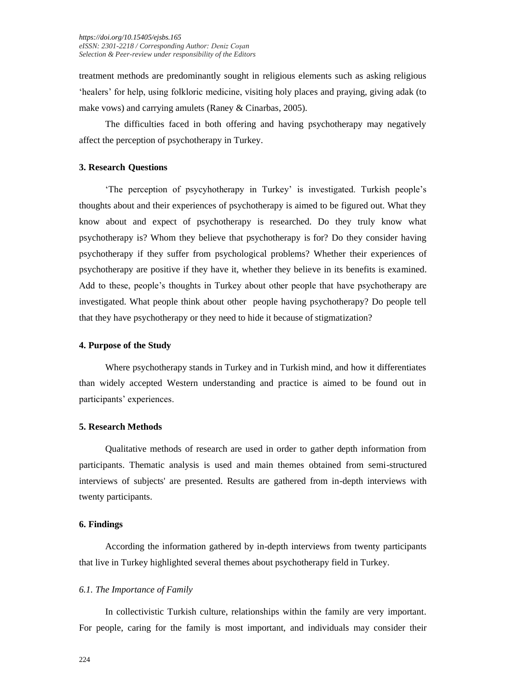treatment methods are predominantly sought in religious elements such as asking religious 'healers' for help, using folkloric medicine, visiting holy places and praying, giving adak (to make vows) and carrying amulets (Raney & Cinarbas, 2005).

The difficulties faced in both offering and having psychotherapy may negatively affect the perception of psychotherapy in Turkey.

#### **3. Research Questions**

'The perception of psycyhotherapy in Turkey' is investigated. Turkish people's thoughts about and their experiences of psychotherapy is aimed to be figured out. What they know about and expect of psychotherapy is researched. Do they truly know what psychotherapy is? Whom they believe that psychotherapy is for? Do they consider having psychotherapy if they suffer from psychological problems? Whether their experiences of psychotherapy are positive if they have it, whether they believe in its benefits is examined. Add to these, people's thoughts in Turkey about other people that have psychotherapy are investigated. What people think about other people having psychotherapy? Do people tell that they have psychotherapy or they need to hide it because of stigmatization?

#### **4. Purpose of the Study**

Where psychotherapy stands in Turkey and in Turkish mind, and how it differentiates than widely accepted Western understanding and practice is aimed to be found out in participants' experiences.

# **5. Research Methods**

Qualitative methods of research are used in order to gather depth information from participants. Thematic analysis is used and main themes obtained from semi-structured interviews of subjects' are presented. Results are gathered from in-depth interviews with twenty participants.

#### **6. Findings**

According the information gathered by in-depth interviews from twenty participants that live in Turkey highlighted several themes about psychotherapy field in Turkey.

#### *6.1. The Importance of Family*

In collectivistic Turkish culture, relationships within the family are very important. For people, caring for the family is most important, and individuals may consider their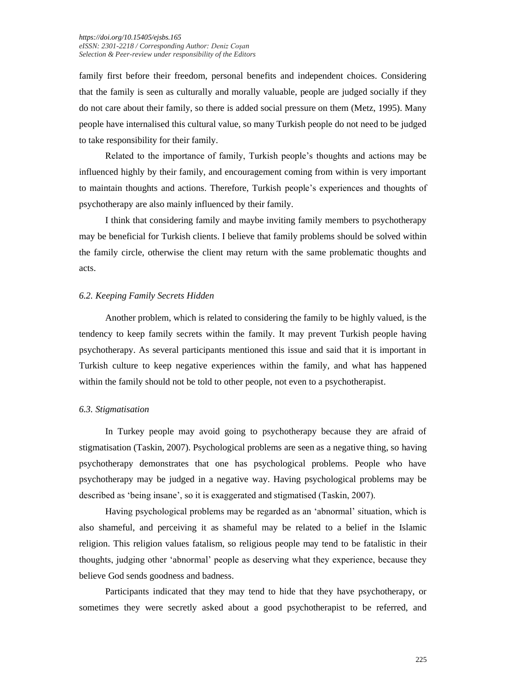family first before their freedom, personal benefits and independent choices. Considering that the family is seen as culturally and morally valuable, people are judged socially if they do not care about their family, so there is added social pressure on them (Metz, 1995). Many people have internalised this cultural value, so many Turkish people do not need to be judged to take responsibility for their family.

Related to the importance of family, Turkish people's thoughts and actions may be influenced highly by their family, and encouragement coming from within is very important to maintain thoughts and actions. Therefore, Turkish people's experiences and thoughts of psychotherapy are also mainly influenced by their family.

I think that considering family and maybe inviting family members to psychotherapy may be beneficial for Turkish clients. I believe that family problems should be solved within the family circle, otherwise the client may return with the same problematic thoughts and acts.

## *6.2. Keeping Family Secrets Hidden*

Another problem, which is related to considering the family to be highly valued, is the tendency to keep family secrets within the family. It may prevent Turkish people having psychotherapy. As several participants mentioned this issue and said that it is important in Turkish culture to keep negative experiences within the family, and what has happened within the family should not be told to other people, not even to a psychotherapist.

#### *6.3. Stigmatisation*

In Turkey people may avoid going to psychotherapy because they are afraid of stigmatisation (Taskin, 2007). Psychological problems are seen as a negative thing, so having psychotherapy demonstrates that one has psychological problems. People who have psychotherapy may be judged in a negative way. Having psychological problems may be described as 'being insane', so it is exaggerated and stigmatised (Taskin, 2007).

Having psychological problems may be regarded as an 'abnormal' situation, which is also shameful, and perceiving it as shameful may be related to a belief in the Islamic religion. This religion values fatalism, so religious people may tend to be fatalistic in their thoughts, judging other 'abnormal' people as deserving what they experience, because they believe God sends goodness and badness.

Participants indicated that they may tend to hide that they have psychotherapy, or sometimes they were secretly asked about a good psychotherapist to be referred, and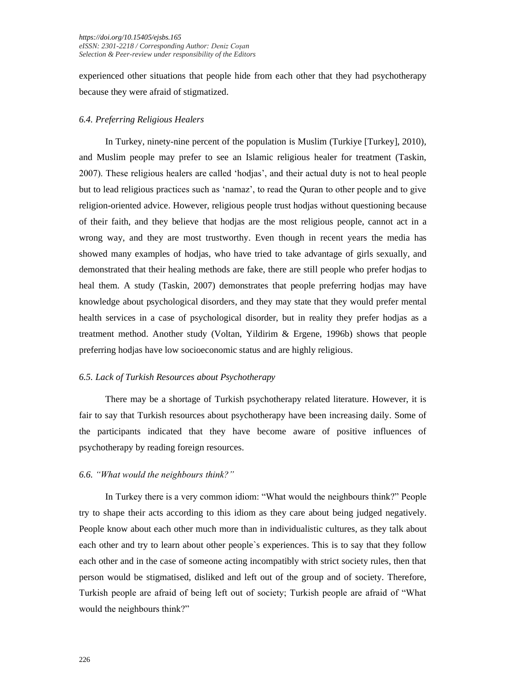experienced other situations that people hide from each other that they had psychotherapy because they were afraid of stigmatized.

# *6.4. Preferring Religious Healers*

In Turkey, ninety-nine percent of the population is Muslim (Turkiye [Turkey], 2010), and Muslim people may prefer to see an Islamic religious healer for treatment (Taskin, 2007). These religious healers are called 'hodjas', and their actual duty is not to heal people but to lead religious practices such as 'namaz', to read the Quran to other people and to give religion-oriented advice. However, religious people trust hodjas without questioning because of their faith, and they believe that hodjas are the most religious people, cannot act in a wrong way, and they are most trustworthy. Even though in recent years the media has showed many examples of hodjas, who have tried to take advantage of girls sexually, and demonstrated that their healing methods are fake, there are still people who prefer hodjas to heal them. A study (Taskin, 2007) demonstrates that people preferring hodjas may have knowledge about psychological disorders, and they may state that they would prefer mental health services in a case of psychological disorder, but in reality they prefer hodjas as a treatment method. Another study (Voltan, Yildirim & Ergene, 1996b) shows that people preferring hodjas have low socioeconomic status and are highly religious.

# *6.5. Lack of Turkish Resources about Psychotherapy*

There may be a shortage of Turkish psychotherapy related literature. However, it is fair to say that Turkish resources about psychotherapy have been increasing daily. Some of the participants indicated that they have become aware of positive influences of psychotherapy by reading foreign resources.

# *6.6. "What would the neighbours think?"*

In Turkey there is a very common idiom: "What would the neighbours think?" People try to shape their acts according to this idiom as they care about being judged negatively. People know about each other much more than in individualistic cultures, as they talk about each other and try to learn about other people`s experiences. This is to say that they follow each other and in the case of someone acting incompatibly with strict society rules, then that person would be stigmatised, disliked and left out of the group and of society. Therefore, Turkish people are afraid of being left out of society; Turkish people are afraid of "What would the neighbours think?"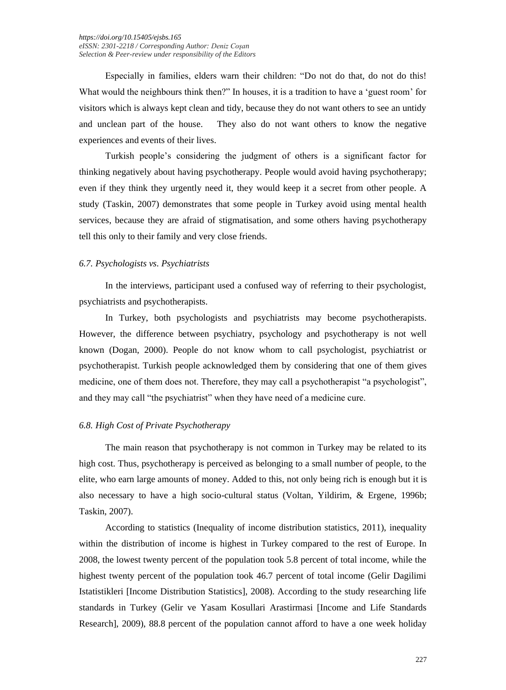Especially in families, elders warn their children: "Do not do that, do not do this! What would the neighbours think then?" In houses, it is a tradition to have a 'guest room' for visitors which is always kept clean and tidy, because they do not want others to see an untidy and unclean part of the house. They also do not want others to know the negative experiences and events of their lives.

Turkish people's considering the judgment of others is a significant factor for thinking negatively about having psychotherapy. People would avoid having psychotherapy; even if they think they urgently need it, they would keep it a secret from other people. A study (Taskin, 2007) demonstrates that some people in Turkey avoid using mental health services, because they are afraid of stigmatisation, and some others having psychotherapy tell this only to their family and very close friends.

## *6.7. Psychologists vs. Psychiatrists*

In the interviews, participant used a confused way of referring to their psychologist, psychiatrists and psychotherapists.

In Turkey, both psychologists and psychiatrists may become psychotherapists. However, the difference between psychiatry, psychology and psychotherapy is not well known (Dogan, 2000). People do not know whom to call psychologist, psychiatrist or psychotherapist. Turkish people acknowledged them by considering that one of them gives medicine, one of them does not. Therefore, they may call a psychotherapist "a psychologist", and they may call "the psychiatrist" when they have need of a medicine cure.

#### *6.8. High Cost of Private Psychotherapy*

The main reason that psychotherapy is not common in Turkey may be related to its high cost. Thus, psychotherapy is perceived as belonging to a small number of people, to the elite, who earn large amounts of money. Added to this, not only being rich is enough but it is also necessary to have a high socio-cultural status (Voltan, Yildirim, & Ergene, 1996b; Taskin, 2007).

According to statistics (Inequality of income distribution statistics, 2011), inequality within the distribution of income is highest in Turkey compared to the rest of Europe. In 2008, the lowest twenty percent of the population took 5.8 percent of total income, while the highest twenty percent of the population took 46.7 percent of total income (Gelir Dagilimi Istatistikleri [Income Distribution Statistics], 2008). According to the study researching life standards in Turkey (Gelir ve Yasam Kosullari Arastirmasi [Income and Life Standards Research], 2009), 88.8 percent of the population cannot afford to have a one week holiday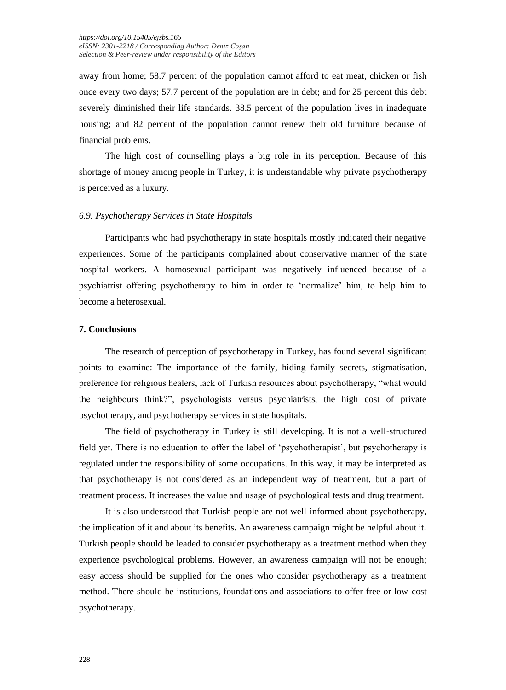away from home; 58.7 percent of the population cannot afford to eat meat, chicken or fish once every two days; 57.7 percent of the population are in debt; and for 25 percent this debt severely diminished their life standards. 38.5 percent of the population lives in inadequate housing; and 82 percent of the population cannot renew their old furniture because of financial problems.

The high cost of counselling plays a big role in its perception. Because of this shortage of money among people in Turkey, it is understandable why private psychotherapy is perceived as a luxury.

## *6.9. Psychotherapy Services in State Hospitals*

Participants who had psychotherapy in state hospitals mostly indicated their negative experiences. Some of the participants complained about conservative manner of the state hospital workers. A homosexual participant was negatively influenced because of a psychiatrist offering psychotherapy to him in order to 'normalize' him, to help him to become a heterosexual.

#### **7. Conclusions**

The research of perception of psychotherapy in Turkey, has found several significant points to examine: The importance of the family, hiding family secrets, stigmatisation, preference for religious healers, lack of Turkish resources about psychotherapy, "what would the neighbours think?", psychologists versus psychiatrists, the high cost of private psychotherapy, and psychotherapy services in state hospitals.

The field of psychotherapy in Turkey is still developing. It is not a well-structured field yet. There is no education to offer the label of 'psychotherapist', but psychotherapy is regulated under the responsibility of some occupations. In this way, it may be interpreted as that psychotherapy is not considered as an independent way of treatment, but a part of treatment process. It increases the value and usage of psychological tests and drug treatment.

It is also understood that Turkish people are not well-informed about psychotherapy, the implication of it and about its benefits. An awareness campaign might be helpful about it. Turkish people should be leaded to consider psychotherapy as a treatment method when they experience psychological problems. However, an awareness campaign will not be enough; easy access should be supplied for the ones who consider psychotherapy as a treatment method. There should be institutions, foundations and associations to offer free or low-cost psychotherapy.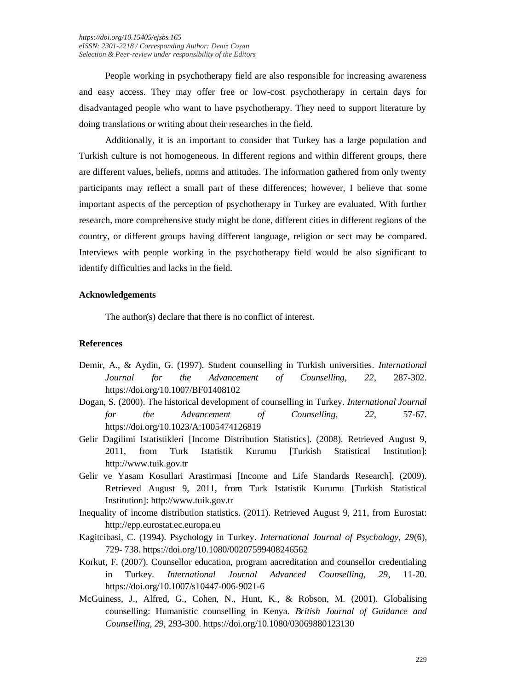People working in psychotherapy field are also responsible for increasing awareness and easy access. They may offer free or low-cost psychotherapy in certain days for disadvantaged people who want to have psychotherapy. They need to support literature by doing translations or writing about their researches in the field.

Additionally, it is an important to consider that Turkey has a large population and Turkish culture is not homogeneous. In different regions and within different groups, there are different values, beliefs, norms and attitudes. The information gathered from only twenty participants may reflect a small part of these differences; however, I believe that some important aspects of the perception of psychotherapy in Turkey are evaluated. With further research, more comprehensive study might be done, different cities in different regions of the country, or different groups having different language, religion or sect may be compared. Interviews with people working in the psychotherapy field would be also significant to identify difficulties and lacks in the field.

# **Acknowledgements**

The author(s) declare that there is no conflict of interest.

# **References**

- Demir, A., & Aydin, G. (1997). Student counselling in Turkish universities. *International Journal for the Advancement of Counselling, 22*, 287-302. https://doi.org/10.1007/BF01408102
- Dogan, S. (2000). The historical development of counselling in Turkey. *International Journal for the Advancement of Counselling, 22*, 57-67. https://doi.org/10.1023/A:1005474126819
- Gelir Dagilimi Istatistikleri [Income Distribution Statistics]. (2008). Retrieved August 9, 2011, from Turk Istatistik Kurumu [Turkish Statistical Institution]: http://www.tuik.gov.tr
- Gelir ve Yasam Kosullari Arastirmasi [Income and Life Standards Research]. (2009). Retrieved August 9, 2011, from Turk Istatistik Kurumu [Turkish Statistical Institution]: http://www.tuik.gov.tr
- Inequality of income distribution statistics. (2011). Retrieved August 9, 211, from Eurostat: http://epp.eurostat.ec.europa.eu
- Kagitcibasi, C. (1994). Psychology in Turkey. *International Journal of Psychology, 29*(6), 729- 738. https://doi.org/10.1080/00207599408246562
- Korkut, F. (2007). Counsellor education, program aacreditation and counsellor credentialing in Turkey. *International Journal Advanced Counselling, 29*, 11-20. https://doi.org/10.1007/s10447-006-9021-6
- McGuiness, J., Alfred, G., Cohen, N., Hunt, K., & Robson, M. (2001). Globalising counselling: Humanistic counselling in Kenya. *British Journal of Guidance and Counselling, 29*, 293-300. https://doi.org/10.1080/03069880123130